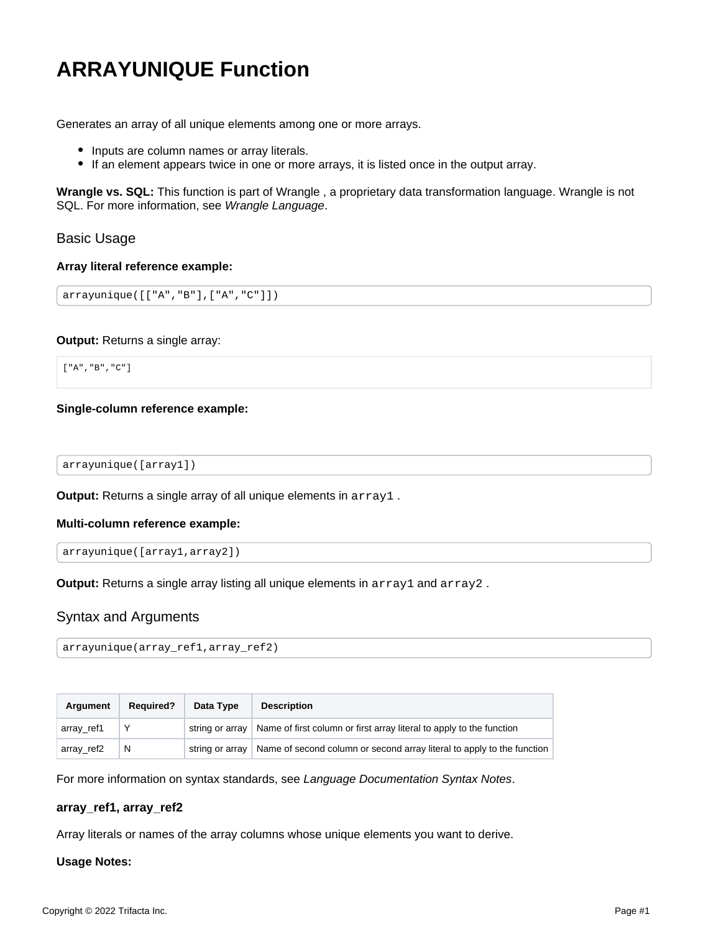# <span id="page-0-0"></span>**ARRAYUNIQUE Function**

Generates an array of all unique elements among one or more arrays.

- Inputs are column names or array literals.
- If an element appears twice in one or more arrays, it is listed once in the output array.

**Wrangle vs. SQL:** This function is part of Wrangle , a proprietary data transformation language. Wrangle is not SQL. For more information, see [Wrangle Language](https://docs.trifacta.com/display/r087/Wrangle+Language).

## Basic Usage

#### **Array literal reference example:**

```
arrayunique([["A","B"],["A","C"]])
```
#### **Output:** Returns a single array:

["A","B","C"]

### **Single-column reference example:**

arrayunique([array1])

**Output:** Returns a single array of all unique elements in array1.

#### **Multi-column reference example:**

```
arrayunique([array1,array2])
```
**Output:** Returns a single array listing all unique elements in array1 and array2.

## Syntax and Arguments

```
arrayunique(array_ref1,array_ref2)
```

| <b>Argument</b> | <b>Required?</b> | Data Type | <b>Description</b>                                                                       |
|-----------------|------------------|-----------|------------------------------------------------------------------------------------------|
| array_ref1      |                  |           | string or array   Name of first column or first array literal to apply to the function   |
| array_ref2      | N                |           | string or array   Name of second column or second array literal to apply to the function |

For more information on syntax standards, see [Language Documentation Syntax Notes](https://docs.trifacta.com/display/r087/Language+Documentation+Syntax+Notes).

#### **array\_ref1, array\_ref2**

Array literals or names of the array columns whose unique elements you want to derive.

#### **Usage Notes:**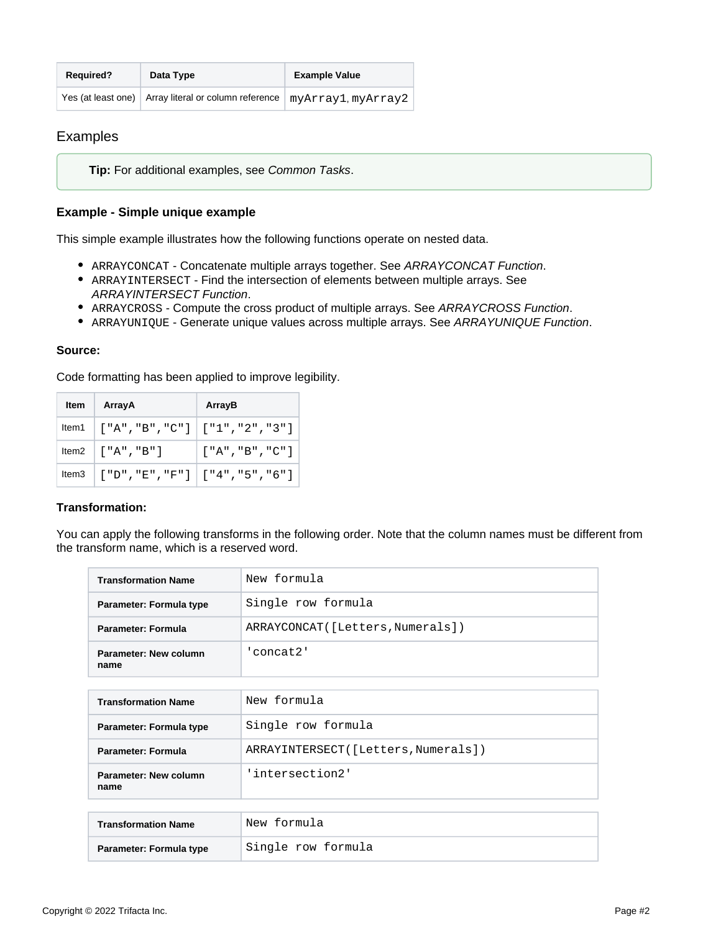| <b>Required?</b> | Data Type                                                                   | <b>Example Value</b> |
|------------------|-----------------------------------------------------------------------------|----------------------|
|                  | Yes (at least one)   Array literal or column reference   myArray1, myArray2 |                      |

# Examples

**Tip:** For additional examples, see [Common Tasks](https://docs.trifacta.com/display/r087/Common+Tasks).

## **Example - Simple unique example**

This simple example illustrates how the following functions operate on nested data.

- ARRAYCONCAT Concatenate multiple arrays together. See [ARRAYCONCAT Function](https://docs.trifacta.com/display/r087/ARRAYCONCAT+Function).
- ARRAYINTERSECT Find the intersection of elements between multiple arrays. See [ARRAYINTERSECT Function](https://docs.trifacta.com/display/r087/ARRAYINTERSECT+Function).
- ARRAYCROSS Compute the cross product of multiple arrays. See [ARRAYCROSS Function](https://docs.trifacta.com/display/r087/ARRAYCROSS+Function).
- ARRAYUNIQUE Generate unique values across multiple arrays. See [ARRAYUNIQUE Function](#page-0-0).

#### **Source:**

Code formatting has been applied to improve legibility.

| Item $\parallel$ | ArrayA                                                                                             | ArrayB                  |
|------------------|----------------------------------------------------------------------------------------------------|-------------------------|
|                  | Item1 $\begin{bmatrix} "A", "B", "C" \end{bmatrix}$ $\begin{bmatrix} "1", "2", "3" \end{bmatrix}$  |                         |
|                  | Item2 $\begin{bmatrix} "A", "B" \end{bmatrix}$                                                     | $\left[$ "A", "B", "C"] |
|                  | Item3 $\begin{bmatrix} "D", "E", "F"] \end{bmatrix}$ $\begin{bmatrix} "4", "5", "6" \end{bmatrix}$ |                         |

#### **Transformation:**

You can apply the following transforms in the following order. Note that the column names must be different from the transform name, which is a reserved word.

| <b>Transformation Name</b>    | New formula                         |  |
|-------------------------------|-------------------------------------|--|
| Parameter: Formula type       | Single row formula                  |  |
| Parameter: Formula            | ARRAYCONCAT([Letters, Numerals])    |  |
| Parameter: New column<br>name | 'concat2'                           |  |
|                               |                                     |  |
| <b>Transformation Name</b>    | New formula                         |  |
| Parameter: Formula type       | Single row formula                  |  |
| Parameter: Formula            | ARRAYINTERSECT([Letters, Numerals]) |  |
| Parameter: New column<br>name | 'intersection2'                     |  |
|                               |                                     |  |
| <b>Transformation Name</b>    | New formula                         |  |
| Parameter: Formula type       | Single row formula                  |  |